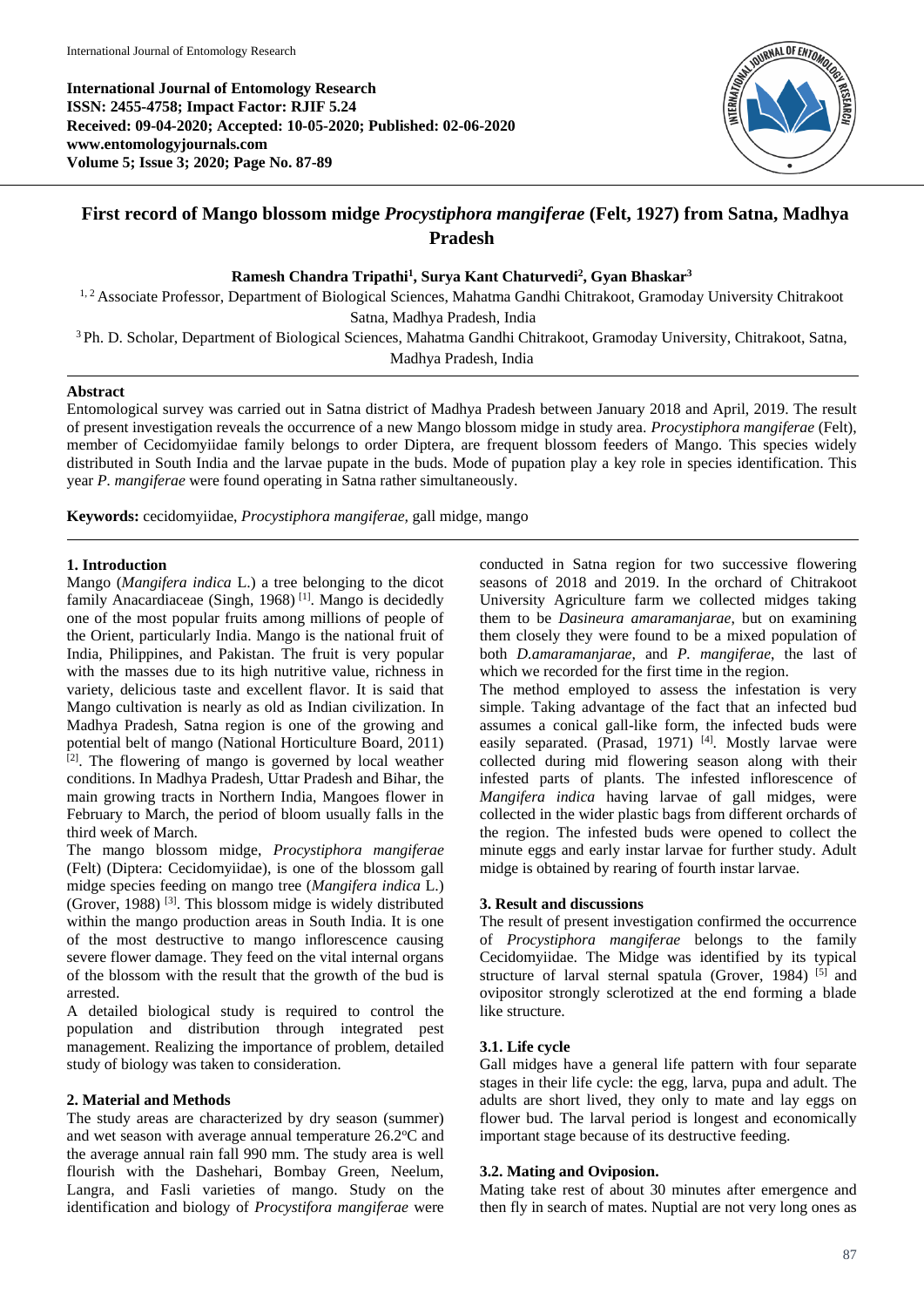

# **First record of Mango blossom midge** *Procystiphora mangiferae* **(Felt, 1927) from Satna, Madhya Pradesh**

# **Ramesh Chandra Tripathi<sup>1</sup> , Surya Kant Chaturvedi<sup>2</sup> , Gyan Bhaskar<sup>3</sup>**

<sup>1, 2</sup> Associate Professor, Department of Biological Sciences, Mahatma Gandhi Chitrakoot, Gramoday University Chitrakoot Satna, Madhya Pradesh, India

<sup>3</sup> Ph. D. Scholar, Department of Biological Sciences, Mahatma Gandhi Chitrakoot, Gramoday University, Chitrakoot, Satna, Madhya Pradesh, India

# **Abstract**

Entomological survey was carried out in Satna district of Madhya Pradesh between January 2018 and April, 2019. The result of present investigation reveals the occurrence of a new Mango blossom midge in study area. *Procystiphora mangiferae* (Felt), member of Cecidomyiidae family belongs to order Diptera, are frequent blossom feeders of Mango. This species widely distributed in South India and the larvae pupate in the buds. Mode of pupation play a key role in species identification. This year *P. mangiferae* were found operating in Satna rather simultaneously.

**Keywords:** cecidomyiidae, *Procystiphora mangiferae,* gall midge, mango

# **1. Introduction**

Mango (*Mangifera indica* L.) a tree belonging to the dicot family Anacardiaceae (Singh, 1968)<sup>[1]</sup>. Mango is decidedly one of the most popular fruits among millions of people of the Orient, particularly India. Mango is the national fruit of India, Philippines, and Pakistan. The fruit is very popular with the masses due to its high nutritive value, richness in variety, delicious taste and excellent flavor. It is said that Mango cultivation is nearly as old as Indian civilization. In Madhya Pradesh, Satna region is one of the growing and potential belt of mango (National Horticulture Board, 2011)  $[2]$ . The flowering of mango is governed by local weather conditions. In Madhya Pradesh, Uttar Pradesh and Bihar, the main growing tracts in Northern India, Mangoes flower in February to March, the period of bloom usually falls in the third week of March.

The mango blossom midge, *Procystiphora mangiferae* (Felt) (Diptera: Cecidomyiidae), is one of the blossom gall midge species feeding on mango tree (*Mangifera indica* L.) (Grover, 1988) [3]. This blossom midge is widely distributed within the mango production areas in South India. It is one of the most destructive to mango inflorescence causing severe flower damage. They feed on the vital internal organs of the blossom with the result that the growth of the bud is arrested.

A detailed biological study is required to control the population and distribution through integrated pest management. Realizing the importance of problem, detailed study of biology was taken to consideration.

# **2. Material and Methods**

The study areas are characterized by dry season (summer) and wet season with average annual temperature 26.2°C and the average annual rain fall 990 mm. The study area is well flourish with the Dashehari, Bombay Green, Neelum, Langra, and Fasli varieties of mango. Study on the identification and biology of *Procystifora mangiferae* were conducted in Satna region for two successive flowering seasons of 2018 and 2019. In the orchard of Chitrakoot University Agriculture farm we collected midges taking them to be *Dasineura amaramanjarae*, but on examining them closely they were found to be a mixed population of both *D.amaramanjarae*, and *P. mangiferae*, the last of which we recorded for the first time in the region.

The method employed to assess the infestation is very simple. Taking advantage of the fact that an infected bud assumes a conical gall-like form, the infected buds were easily separated. (Prasad, 1971)<sup>[4]</sup>. Mostly larvae were collected during mid flowering season along with their infested parts of plants. The infested inflorescence of *Mangifera indica* having larvae of gall midges, were collected in the wider plastic bags from different orchards of the region. The infested buds were opened to collect the minute eggs and early instar larvae for further study. Adult midge is obtained by rearing of fourth instar larvae.

## **3. Result and discussions**

The result of present investigation confirmed the occurrence of *Procystiphora mangiferae* belongs to the family Cecidomyiidae. The Midge was identified by its typical structure of larval sternal spatula (Grover, 1984)  $[5]$  and ovipositor strongly sclerotized at the end forming a blade like structure.

# **3.1. Life cycle**

Gall midges have a general life pattern with four separate stages in their life cycle: the egg, larva, pupa and adult. The adults are short lived, they only to mate and lay eggs on flower bud. The larval period is longest and economically important stage because of its destructive feeding.

# **3.2. Mating and Oviposion.**

Mating take rest of about 30 minutes after emergence and then fly in search of mates. Nuptial are not very long ones as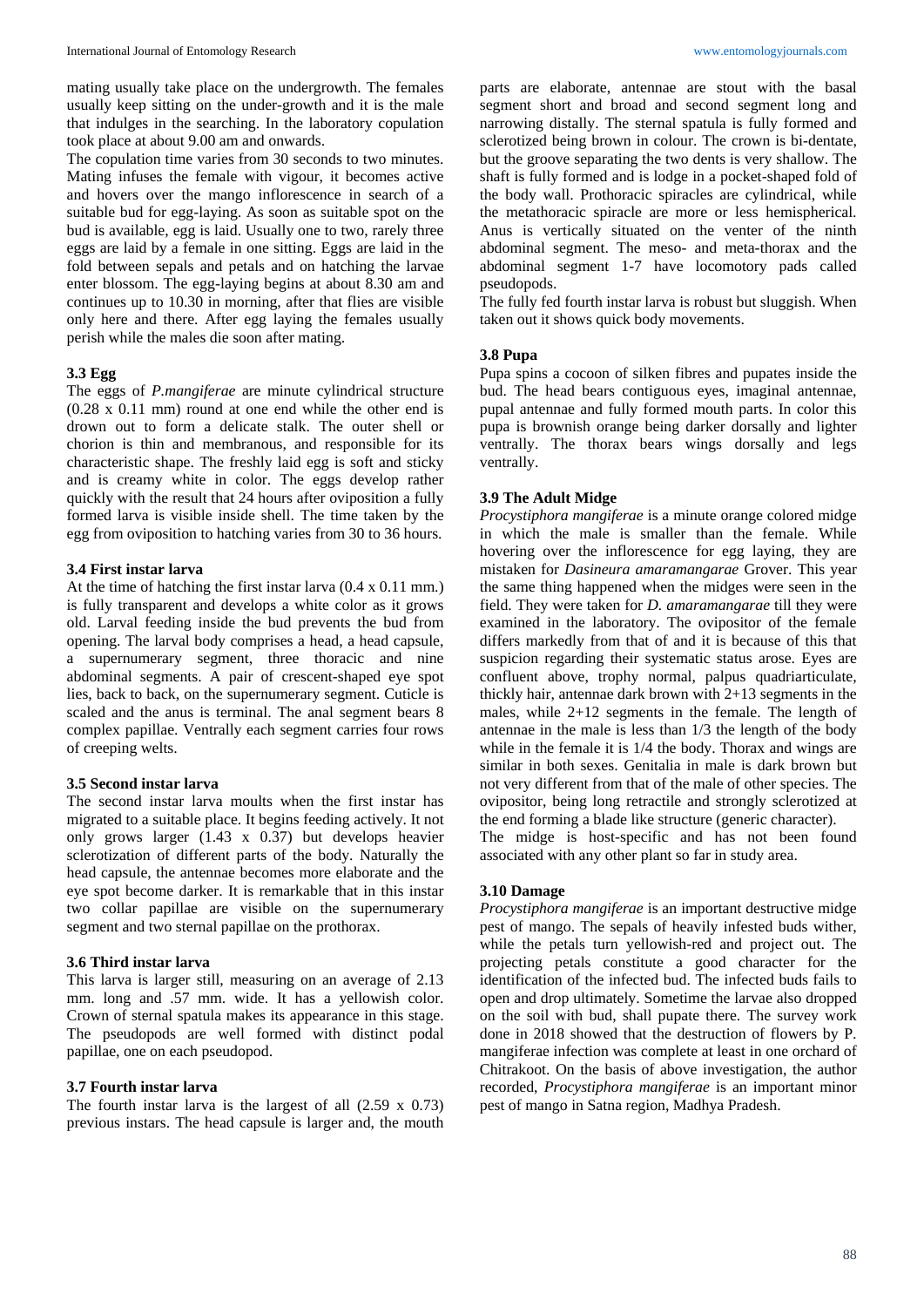mating usually take place on the undergrowth. The females usually keep sitting on the under-growth and it is the male that indulges in the searching. In the laboratory copulation took place at about 9.00 am and onwards.

The copulation time varies from 30 seconds to two minutes. Mating infuses the female with vigour, it becomes active and hovers over the mango inflorescence in search of a suitable bud for egg-laying. As soon as suitable spot on the bud is available, egg is laid. Usually one to two, rarely three eggs are laid by a female in one sitting. Eggs are laid in the fold between sepals and petals and on hatching the larvae enter blossom. The egg-laying begins at about 8.30 am and continues up to 10.30 in morning, after that flies are visible only here and there. After egg laying the females usually perish while the males die soon after mating.

# **3.3 Egg**

The eggs of *P.mangiferae* are minute cylindrical structure (0.28 x 0.11 mm) round at one end while the other end is drown out to form a delicate stalk. The outer shell or chorion is thin and membranous, and responsible for its characteristic shape. The freshly laid egg is soft and sticky and is creamy white in color. The eggs develop rather quickly with the result that 24 hours after oviposition a fully formed larva is visible inside shell. The time taken by the egg from oviposition to hatching varies from 30 to 36 hours.

#### **3.4 First instar larva**

At the time of hatching the first instar larva (0.4 x 0.11 mm.) is fully transparent and develops a white color as it grows old. Larval feeding inside the bud prevents the bud from opening. The larval body comprises a head, a head capsule, a supernumerary segment, three thoracic and nine abdominal segments. A pair of crescent-shaped eye spot lies, back to back, on the supernumerary segment. Cuticle is scaled and the anus is terminal. The anal segment bears 8 complex papillae. Ventrally each segment carries four rows of creeping welts.

#### **3.5 Second instar larva**

The second instar larva moults when the first instar has migrated to a suitable place. It begins feeding actively. It not only grows larger (1.43 x 0.37) but develops heavier sclerotization of different parts of the body. Naturally the head capsule, the antennae becomes more elaborate and the eye spot become darker. It is remarkable that in this instar two collar papillae are visible on the supernumerary segment and two sternal papillae on the prothorax.

#### **3.6 Third instar larva**

This larva is larger still, measuring on an average of 2.13 mm. long and .57 mm. wide. It has a yellowish color. Crown of sternal spatula makes its appearance in this stage. The pseudopods are well formed with distinct podal papillae, one on each pseudopod.

#### **3.7 Fourth instar larva**

The fourth instar larva is the largest of all (2.59 x 0.73) previous instars. The head capsule is larger and, the mouth

parts are elaborate, antennae are stout with the basal segment short and broad and second segment long and narrowing distally. The sternal spatula is fully formed and sclerotized being brown in colour. The crown is bi-dentate, but the groove separating the two dents is very shallow. The shaft is fully formed and is lodge in a pocket-shaped fold of the body wall. Prothoracic spiracles are cylindrical, while the metathoracic spiracle are more or less hemispherical. Anus is vertically situated on the venter of the ninth abdominal segment. The meso- and meta-thorax and the abdominal segment 1-7 have locomotory pads called pseudopods.

The fully fed fourth instar larva is robust but sluggish. When taken out it shows quick body movements.

# **3.8 Pupa**

Pupa spins a cocoon of silken fibres and pupates inside the bud. The head bears contiguous eyes, imaginal antennae, pupal antennae and fully formed mouth parts. In color this pupa is brownish orange being darker dorsally and lighter ventrally. The thorax bears wings dorsally and legs ventrally.

# **3.9 The Adult Midge**

*Procystiphora mangiferae* is a minute orange colored midge in which the male is smaller than the female. While hovering over the inflorescence for egg laying, they are mistaken for *Dasineura amaramangarae* Grover. This year the same thing happened when the midges were seen in the field. They were taken for *D. amaramangarae* till they were examined in the laboratory. The ovipositor of the female differs markedly from that of and it is because of this that suspicion regarding their systematic status arose. Eyes are confluent above, trophy normal, palpus quadriarticulate, thickly hair, antennae dark brown with 2+13 segments in the males, while 2+12 segments in the female. The length of antennae in the male is less than 1/3 the length of the body while in the female it is 1/4 the body. Thorax and wings are similar in both sexes. Genitalia in male is dark brown but not very different from that of the male of other species. The ovipositor, being long retractile and strongly sclerotized at the end forming a blade like structure (generic character).

The midge is host-specific and has not been found associated with any other plant so far in study area.

#### **3.10 Damage**

*Procystiphora mangiferae* is an important destructive midge pest of mango. The sepals of heavily infested buds wither, while the petals turn yellowish-red and project out. The projecting petals constitute a good character for the identification of the infected bud. The infected buds fails to open and drop ultimately. Sometime the larvae also dropped on the soil with bud, shall pupate there. The survey work done in 2018 showed that the destruction of flowers by P. mangiferae infection was complete at least in one orchard of Chitrakoot. On the basis of above investigation, the author recorded, *Procystiphora mangiferae* is an important minor pest of mango in Satna region, Madhya Pradesh.